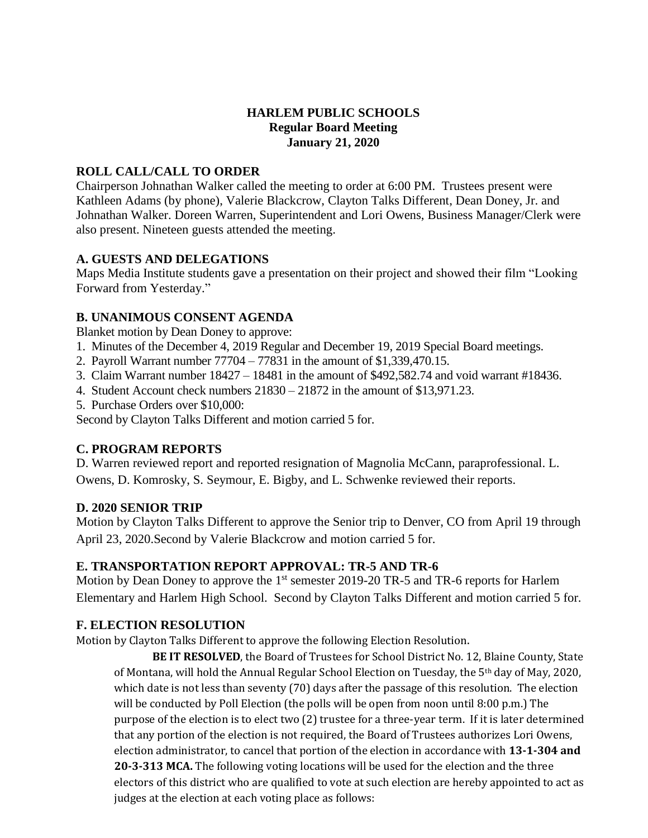# **HARLEM PUBLIC SCHOOLS Regular Board Meeting January 21, 2020**

### **ROLL CALL/CALL TO ORDER**

Chairperson Johnathan Walker called the meeting to order at 6:00 PM. Trustees present were Kathleen Adams (by phone), Valerie Blackcrow, Clayton Talks Different, Dean Doney, Jr. and Johnathan Walker. Doreen Warren, Superintendent and Lori Owens, Business Manager/Clerk were also present. Nineteen guests attended the meeting.

### **A. GUESTS AND DELEGATIONS**

Maps Media Institute students gave a presentation on their project and showed their film "Looking Forward from Yesterday."

### **B. UNANIMOUS CONSENT AGENDA**

Blanket motion by Dean Doney to approve:

- 1. Minutes of the December 4, 2019 Regular and December 19, 2019 Special Board meetings.
- 2. Payroll Warrant number 77704 77831 in the amount of \$1,339,470.15.
- 3. Claim Warrant number 18427 18481 in the amount of \$492,582.74 and void warrant #18436.
- 4. Student Account check numbers 21830 21872 in the amount of \$13,971.23.
- 5. Purchase Orders over \$10,000:

Second by Clayton Talks Different and motion carried 5 for.

# **C. PROGRAM REPORTS**

D. Warren reviewed report and reported resignation of Magnolia McCann, paraprofessional. L. Owens, D. Komrosky, S. Seymour, E. Bigby, and L. Schwenke reviewed their reports.

#### **D. 2020 SENIOR TRIP**

Motion by Clayton Talks Different to approve the Senior trip to Denver, CO from April 19 through April 23, 2020.Second by Valerie Blackcrow and motion carried 5 for.

#### **E. TRANSPORTATION REPORT APPROVAL: TR-5 AND TR-6**

Motion by Dean Doney to approve the 1<sup>st</sup> semester 2019-20 TR-5 and TR-6 reports for Harlem Elementary and Harlem High School. Second by Clayton Talks Different and motion carried 5 for.

# **F. ELECTION RESOLUTION**

Motion by Clayton Talks Different to approve the following Election Resolution.

**BE IT RESOLVED**, the Board of Trustees for School District No. 12, Blaine County, State of Montana, will hold the Annual Regular School Election on Tuesday, the 5th day of May, 2020, which date is not less than seventy (70) days after the passage of this resolution. The election will be conducted by Poll Election (the polls will be open from noon until 8:00 p.m.) The purpose of the election is to elect two (2) trustee for a three-year term. If it is later determined that any portion of the election is not required, the Board of Trustees authorizes Lori Owens, election administrator, to cancel that portion of the election in accordance with **13-1-304 and 20-3-313 MCA.** The following voting locations will be used for the election and the three electors of this district who are qualified to vote at such election are hereby appointed to act as judges at the election at each voting place as follows: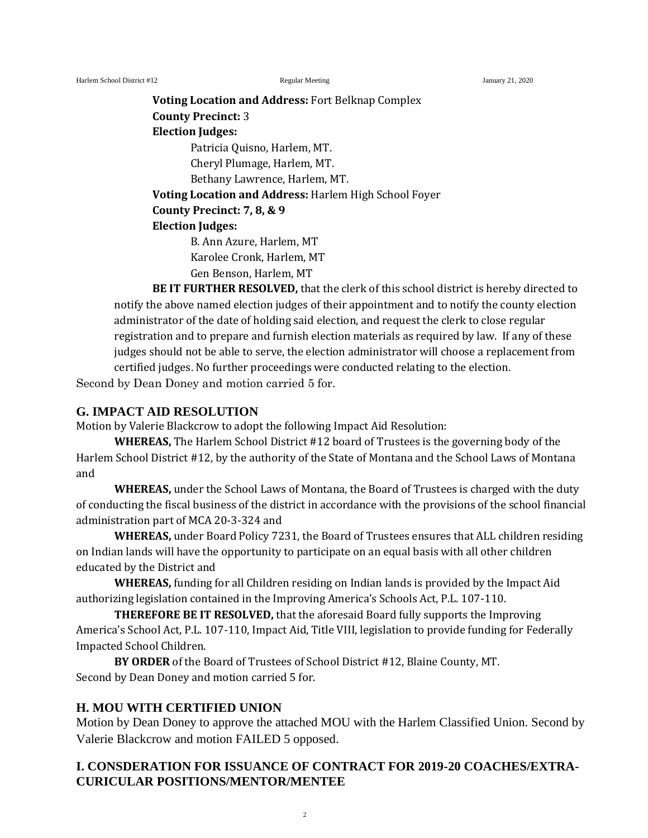Harlem School District #12 **Regular Meeting School District #12** January 21, 2020

**Voting Location and Address:** Fort Belknap Complex **County Precinct:** 3 **Election Judges:** Patricia Quisno, Harlem, MT. Cheryl Plumage, Harlem, MT. Bethany Lawrence, Harlem, MT. **Voting Location and Address:** Harlem High School Foyer **County Precinct: 7, 8, & 9 Election Judges:** B. Ann Azure, Harlem, MT

Karolee Cronk, Harlem, MT Gen Benson, Harlem, MT

**BE IT FURTHER RESOLVED,** that the clerk of this school district is hereby directed to notify the above named election judges of their appointment and to notify the county election administrator of the date of holding said election, and request the clerk to close regular registration and to prepare and furnish election materials as required by law. If any of these judges should not be able to serve, the election administrator will choose a replacement from certified judges. No further proceedings were conducted relating to the election.

Second by Dean Doney and motion carried 5 for.

### **G. IMPACT AID RESOLUTION**

Motion by Valerie Blackcrow to adopt the following Impact Aid Resolution:

**WHEREAS,** The Harlem School District #12 board of Trustees is the governing body of the Harlem School District #12, by the authority of the State of Montana and the School Laws of Montana and

**WHEREAS,** under the School Laws of Montana, the Board of Trustees is charged with the duty of conducting the fiscal business of the district in accordance with the provisions of the school financial administration part of MCA 20-3-324 and

**WHEREAS,** under Board Policy 7231, the Board of Trustees ensures that ALL children residing on Indian lands will have the opportunity to participate on an equal basis with all other children educated by the District and

**WHEREAS,** funding for all Children residing on Indian lands is provided by the Impact Aid authorizing legislation contained in the Improving America's Schools Act, P.L. 107-110.

**THEREFORE BE IT RESOLVED,** that the aforesaid Board fully supports the Improving America's School Act, P.L. 107-110, Impact Aid, Title VIII, legislation to provide funding for Federally Impacted School Children.

**BY ORDER** of the Board of Trustees of School District #12, Blaine County, MT. Second by Dean Doney and motion carried 5 for.

# **H. MOU WITH CERTIFIED UNION**

Motion by Dean Doney to approve the attached MOU with the Harlem Classified Union. Second by Valerie Blackcrow and motion FAILED 5 opposed.

# **I. CONSDERATION FOR ISSUANCE OF CONTRACT FOR 2019-20 COACHES/EXTRA-CURICULAR POSITIONS/MENTOR/MENTEE**